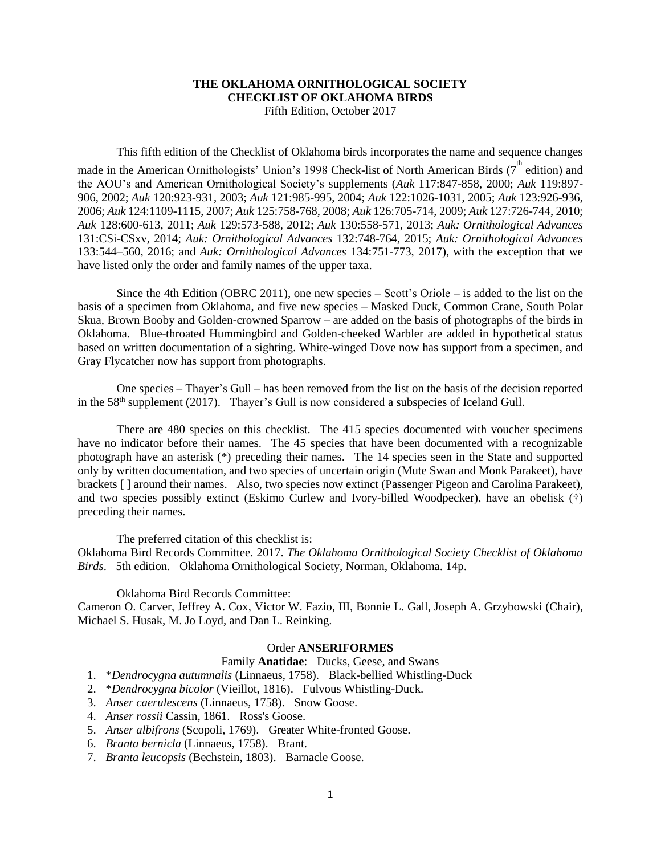### **THE OKLAHOMA ORNITHOLOGICAL SOCIETY CHECKLIST OF OKLAHOMA BIRDS** Fifth Edition, October 2017

This fifth edition of the Checklist of Oklahoma birds incorporates the name and sequence changes

made in the American Ornithologists' Union's 1998 Check-list of North American Birds ( $7^{\text{th}}$  edition) and the AOU's and American Ornithological Society's supplements (*Auk* 117:847-858, 2000; *Auk* 119:897- 906, 2002; *Auk* 120:923-931, 2003; *Auk* 121:985-995, 2004; *Auk* 122:1026-1031, 2005; *Auk* 123:926-936, 2006; *Auk* 124:1109-1115, 2007; *Auk* 125:758-768, 2008; *Auk* 126:705-714, 2009; *Auk* 127:726-744, 2010; *Auk* 128:600-613, 2011; *Auk* 129:573-588, 2012; *Auk* 130:558-571, 2013; *Auk: Ornithological Advances* 131:CSi-CSxv, 2014; *Auk: Ornithological Advances* 132:748-764, 2015; *Auk: Ornithological Advances* 133:544–560, 2016; and *Auk: Ornithological Advances* 134:751-773, 2017), with the exception that we have listed only the order and family names of the upper taxa.

Since the 4th Edition (OBRC 2011), one new species  $-$  Scott's Oriole  $-$  is added to the list on the basis of a specimen from Oklahoma, and five new species – Masked Duck, Common Crane, South Polar Skua, Brown Booby and Golden-crowned Sparrow – are added on the basis of photographs of the birds in Oklahoma. Blue-throated Hummingbird and Golden-cheeked Warbler are added in hypothetical status based on written documentation of a sighting. White-winged Dove now has support from a specimen, and Gray Flycatcher now has support from photographs.

One species – Thayer's Gull – has been removed from the list on the basis of the decision reported in the  $58<sup>th</sup>$  supplement (2017). Thayer's Gull is now considered a subspecies of Iceland Gull.

There are 480 species on this checklist. The 415 species documented with voucher specimens have no indicator before their names. The 45 species that have been documented with a recognizable photograph have an asterisk (\*) preceding their names. The 14 species seen in the State and supported only by written documentation, and two species of uncertain origin (Mute Swan and Monk Parakeet), have brackets [ ] around their names. Also, two species now extinct (Passenger Pigeon and Carolina Parakeet), and two species possibly extinct (Eskimo Curlew and Ivory-billed Woodpecker), have an obelisk (†) preceding their names.

The preferred citation of this checklist is:

Oklahoma Bird Records Committee. 2017. *The Oklahoma Ornithological Society Checklist of Oklahoma Birds*. 5th edition. Oklahoma Ornithological Society, Norman, Oklahoma. 14p.

Oklahoma Bird Records Committee:

Cameron O. Carver, Jeffrey A. Cox, Victor W. Fazio, III, Bonnie L. Gall, Joseph A. Grzybowski (Chair), Michael S. Husak, M. Jo Loyd, and Dan L. Reinking.

## Order **ANSERIFORMES**

#### Family **Anatidae**: Ducks, Geese, and Swans

- 1. \**Dendrocygna autumnalis* (Linnaeus, 1758). Black-bellied Whistling-Duck
- 2. \**Dendrocygna bicolor* (Vieillot, 1816). Fulvous Whistling-Duck.
- 3. *Anser caerulescens* (Linnaeus, 1758). Snow Goose.
- 4. *Anser rossii* Cassin, 1861. Ross's Goose.
- 5. *Anser albifrons* (Scopoli, 1769). Greater White-fronted Goose.
- 6. *Branta bernicla* (Linnaeus, 1758). Brant.
- 7. *Branta leucopsis* (Bechstein, 1803). Barnacle Goose.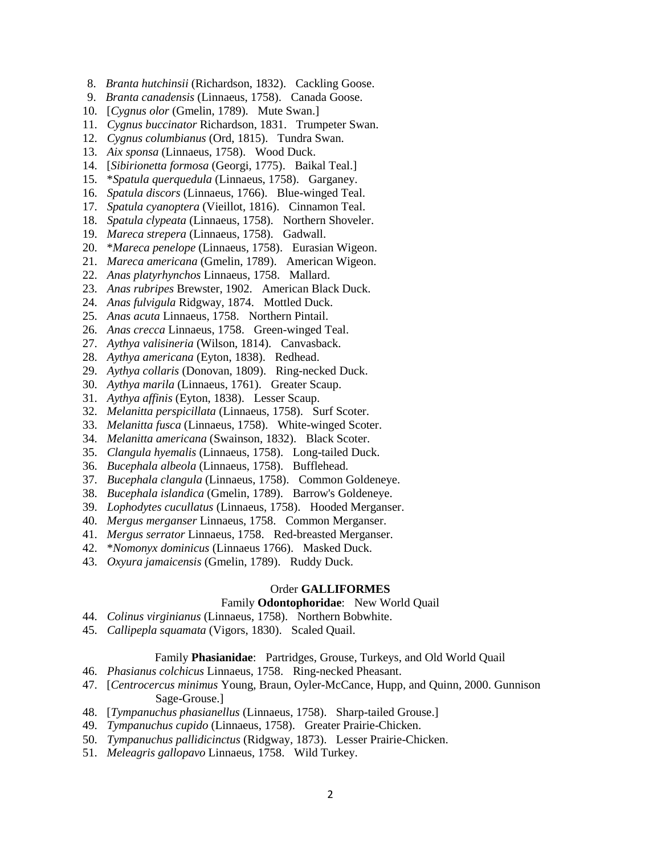- 8. *Branta hutchinsii* (Richardson, 1832). Cackling Goose.
- 9. *Branta canadensis* (Linnaeus, 1758). Canada Goose.
- 10. [*Cygnus olor* (Gmelin, 1789). Mute Swan.]
- 11. *Cygnus buccinator* Richardson, 1831. Trumpeter Swan.
- 12. *Cygnus columbianus* (Ord, 1815). Tundra Swan.
- 13. *Aix sponsa* (Linnaeus, 1758). Wood Duck.
- 14. [*Sibirionetta formosa* (Georgi, 1775). Baikal Teal.]
- 15. \**Spatula querquedula* (Linnaeus, 1758). Garganey.
- 16. *Spatula discors* (Linnaeus, 1766). Blue-winged Teal.
- 17. *Spatula cyanoptera* (Vieillot, 1816). Cinnamon Teal.
- 18. *Spatula clypeata* (Linnaeus, 1758). Northern Shoveler.
- 19. *Mareca strepera* (Linnaeus, 1758). Gadwall.
- 20. \**Mareca penelope* (Linnaeus, 1758). Eurasian Wigeon.
- 21. *Mareca americana* (Gmelin, 1789). American Wigeon.
- 22. *Anas platyrhynchos* Linnaeus, 1758. Mallard.
- 23. *Anas rubripes* Brewster, 1902. American Black Duck.
- 24. *Anas fulvigula* Ridgway, 1874. Mottled Duck.
- 25. *Anas acuta* Linnaeus, 1758. Northern Pintail.
- 26. *Anas crecca* Linnaeus, 1758. Green-winged Teal.
- 27. *Aythya valisineria* (Wilson, 1814). Canvasback.
- 28. *Aythya americana* (Eyton, 1838). Redhead.
- 29. *Aythya collaris* (Donovan, 1809). Ring-necked Duck.
- 30. *Aythya marila* (Linnaeus, 1761). Greater Scaup.
- 31. *Aythya affinis* (Eyton, 1838). Lesser Scaup.
- 32. *Melanitta perspicillata* (Linnaeus, 1758). Surf Scoter.
- 33. *Melanitta fusca* (Linnaeus, 1758). White-winged Scoter.
- 34. *Melanitta americana* (Swainson, 1832). Black Scoter.
- 35. *Clangula hyemalis* (Linnaeus, 1758). Long-tailed Duck.
- 36. *Bucephala albeola* (Linnaeus, 1758). Bufflehead.
- 37. *Bucephala clangula* (Linnaeus, 1758). Common Goldeneye.
- 38. *Bucephala islandica* (Gmelin, 1789). Barrow's Goldeneye.
- 39. *Lophodytes cucullatus* (Linnaeus, 1758). Hooded Merganser.
- 40. *Mergus merganser* Linnaeus, 1758. Common Merganser.
- 41. *Mergus serrator* Linnaeus, 1758. Red-breasted Merganser.
- 42. \**Nomonyx dominicus* (Linnaeus 1766). Masked Duck.
- 43. *Oxyura jamaicensis* (Gmelin, 1789). Ruddy Duck.

#### Order **GALLIFORMES**

### Family **Odontophoridae**: New World Quail

- 44. *Colinus virginianus* (Linnaeus, 1758). Northern Bobwhite.
- 45. *Callipepla squamata* (Vigors, 1830). Scaled Quail.

### Family **Phasianidae**: Partridges, Grouse, Turkeys, and Old World Quail

- 46. *Phasianus colchicus* Linnaeus, 1758. Ring-necked Pheasant.
- 47. [*Centrocercus minimus* Young, Braun, Oyler-McCance, Hupp, and Quinn, 2000. Gunnison Sage-Grouse.]
- 48. [*Tympanuchus phasianellus* (Linnaeus, 1758). Sharp-tailed Grouse.]
- 49. *Tympanuchus cupido* (Linnaeus, 1758). Greater Prairie-Chicken.
- 50. *Tympanuchus pallidicinctus* (Ridgway, 1873). Lesser Prairie-Chicken.
- 51. *Meleagris gallopavo* Linnaeus, 1758. Wild Turkey.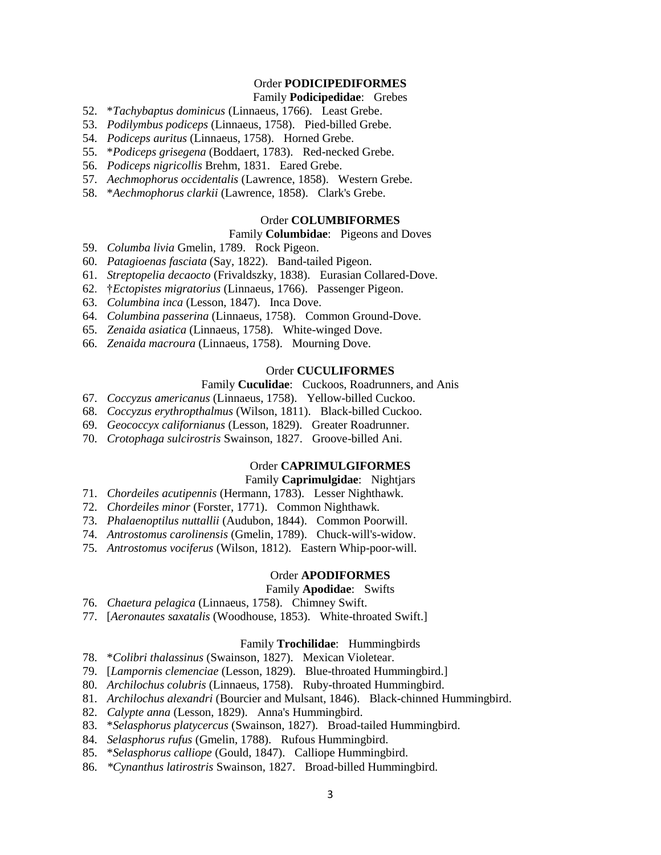## Order **PODICIPEDIFORMES**

#### Family **Podicipedidae**: Grebes

- 52. \**Tachybaptus dominicus* (Linnaeus, 1766). Least Grebe.
- 53. *Podilymbus podiceps* (Linnaeus, 1758). Pied-billed Grebe.
- 54. *Podiceps auritus* (Linnaeus, 1758). Horned Grebe.
- 55. \**Podiceps grisegena* (Boddaert, 1783). Red-necked Grebe.
- 56. *Podiceps nigricollis* Brehm, 1831. Eared Grebe.
- 57. *Aechmophorus occidentalis* (Lawrence, 1858). Western Grebe.
- 58. \**Aechmophorus clarkii* (Lawrence, 1858). Clark's Grebe.

## Order **COLUMBIFORMES**

#### Family **Columbidae**: Pigeons and Doves

- 59. *Columba livia* Gmelin, 1789. Rock Pigeon.
- 60. *Patagioenas fasciata* (Say, 1822). Band-tailed Pigeon.
- 61. *Streptopelia decaocto* (Frivaldszky, 1838). Eurasian Collared-Dove.
- 62. †*Ectopistes migratorius* (Linnaeus, 1766). Passenger Pigeon.
- 63. *Columbina inca* (Lesson, 1847). Inca Dove.
- 64. *Columbina passerina* (Linnaeus, 1758). Common Ground-Dove.
- 65. *Zenaida asiatica* (Linnaeus, 1758). White-winged Dove.
- 66. *Zenaida macroura* (Linnaeus, 1758). Mourning Dove.

### Order **CUCULIFORMES**

#### Family **Cuculidae**: Cuckoos, Roadrunners, and Anis

- 67. *Coccyzus americanus* (Linnaeus, 1758). Yellow-billed Cuckoo.
- 68. *Coccyzus erythropthalmus* (Wilson, 1811). Black-billed Cuckoo.
- 69. *Geococcyx californianus* (Lesson, 1829). Greater Roadrunner.
- 70. *Crotophaga sulcirostris* Swainson, 1827. Groove-billed Ani.

# Order **CAPRIMULGIFORMES**

# Family **Caprimulgidae**: Nightjars

- 71. *Chordeiles acutipennis* (Hermann, 1783). Lesser Nighthawk.
- 72. *Chordeiles minor* (Forster, 1771). Common Nighthawk.
- 73. *Phalaenoptilus nuttallii* (Audubon, 1844). Common Poorwill.
- 74. *Antrostomus carolinensis* (Gmelin, 1789). Chuck-will's-widow.
- 75. *Antrostomus vociferus* (Wilson, 1812). Eastern Whip-poor-will.

### Order **APODIFORMES**

### Family **Apodidae**: Swifts

- 76. *Chaetura pelagica* (Linnaeus, 1758). Chimney Swift.
- 77. [*Aeronautes saxatalis* (Woodhouse, 1853). White-throated Swift.]

## Family **Trochilidae**: Hummingbirds

- 78. \**Colibri thalassinus* (Swainson, 1827). Mexican Violetear.
- 79. [*Lampornis clemenciae* (Lesson, 1829). Blue-throated Hummingbird.]
- 80. *Archilochus colubris* (Linnaeus, 1758). Ruby-throated Hummingbird.
- 81. *Archilochus alexandri* (Bourcier and Mulsant, 1846). Black-chinned Hummingbird.
- 82. *Calypte anna* (Lesson, 1829). Anna's Hummingbird.
- 83. \**Selasphorus platycercus* (Swainson, 1827). Broad-tailed Hummingbird.
- 84. *Selasphorus rufus* (Gmelin, 1788). Rufous Hummingbird.
- 85. \**Selasphorus calliope* (Gould, 1847). Calliope Hummingbird.
- 86. *\*Cynanthus latirostris* Swainson, 1827. Broad-billed Hummingbird.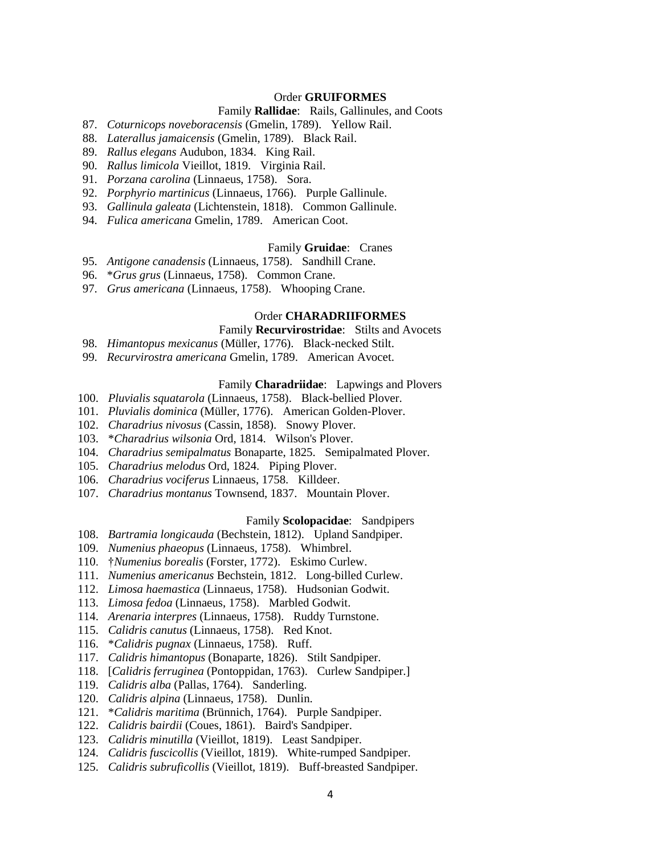### Order **GRUIFORMES**

## Family **Rallidae**: Rails, Gallinules, and Coots

- 87. *Coturnicops noveboracensis* (Gmelin, 1789). Yellow Rail.
- 88. *Laterallus jamaicensis* (Gmelin, 1789). Black Rail.
- 89. *Rallus elegans* Audubon, 1834. King Rail.
- 90. *Rallus limicola* Vieillot, 1819. Virginia Rail.
- 91. *Porzana carolina* (Linnaeus, 1758). Sora.
- 92. *Porphyrio martinicus* (Linnaeus, 1766). Purple Gallinule.
- 93. *Gallinula galeata* (Lichtenstein, 1818). Common Gallinule.
- 94. *Fulica americana* Gmelin, 1789. American Coot.

### Family **Gruidae**: Cranes

- 95. *Antigone canadensis* (Linnaeus, 1758). Sandhill Crane.
- 96. \**Grus grus* (Linnaeus, 1758). Common Crane.
- 97. *Grus americana* (Linnaeus, 1758). Whooping Crane.

#### Order **CHARADRIIFORMES**

### Family **Recurvirostridae**: Stilts and Avocets

- 98. *Himantopus mexicanus* (Müller, 1776). Black-necked Stilt.
- 99. *Recurvirostra americana* Gmelin, 1789. American Avocet.

#### Family **Charadriidae**: Lapwings and Plovers

- 100. *Pluvialis squatarola* (Linnaeus, 1758). Black-bellied Plover.
- 101. *Pluvialis dominica* (Müller, 1776). American Golden-Plover.
- 102. *Charadrius nivosus* (Cassin, 1858). Snowy Plover.
- 103. \**Charadrius wilsonia* Ord, 1814. Wilson's Plover.
- 104. *Charadrius semipalmatus* Bonaparte, 1825. Semipalmated Plover.
- 105. *Charadrius melodus* Ord, 1824. Piping Plover.
- 106. *Charadrius vociferus* Linnaeus, 1758. Killdeer.
- 107. *Charadrius montanus* Townsend, 1837. Mountain Plover.

#### Family **Scolopacidae**: Sandpipers

- 108. *Bartramia longicauda* (Bechstein, 1812). Upland Sandpiper.
- 109. *Numenius phaeopus* (Linnaeus, 1758). Whimbrel.
- 110. †*Numenius borealis* (Forster, 1772). Eskimo Curlew.
- 111. *Numenius americanus* Bechstein, 1812. Long-billed Curlew.
- 112. *Limosa haemastica* (Linnaeus, 1758). Hudsonian Godwit.
- 113. *Limosa fedoa* (Linnaeus, 1758). Marbled Godwit.
- 114. *Arenaria interpres* (Linnaeus, 1758). Ruddy Turnstone.
- 115. *Calidris canutus* (Linnaeus, 1758). Red Knot.
- 116. \**Calidris pugnax* (Linnaeus, 1758). Ruff.
- 117. *Calidris himantopus* (Bonaparte, 1826). Stilt Sandpiper.
- 118. [*Calidris ferruginea* (Pontoppidan, 1763). Curlew Sandpiper.]
- 119. *Calidris alba* (Pallas, 1764). Sanderling.
- 120. *Calidris alpina* (Linnaeus, 1758). Dunlin.
- 121. \**Calidris maritima* (Brünnich, 1764). Purple Sandpiper.
- 122. *Calidris bairdii* (Coues, 1861). Baird's Sandpiper.
- 123. *Calidris minutilla* (Vieillot, 1819). Least Sandpiper.
- 124. *Calidris fuscicollis* (Vieillot, 1819). White-rumped Sandpiper.
- 125. *Calidris subruficollis* (Vieillot, 1819). Buff-breasted Sandpiper.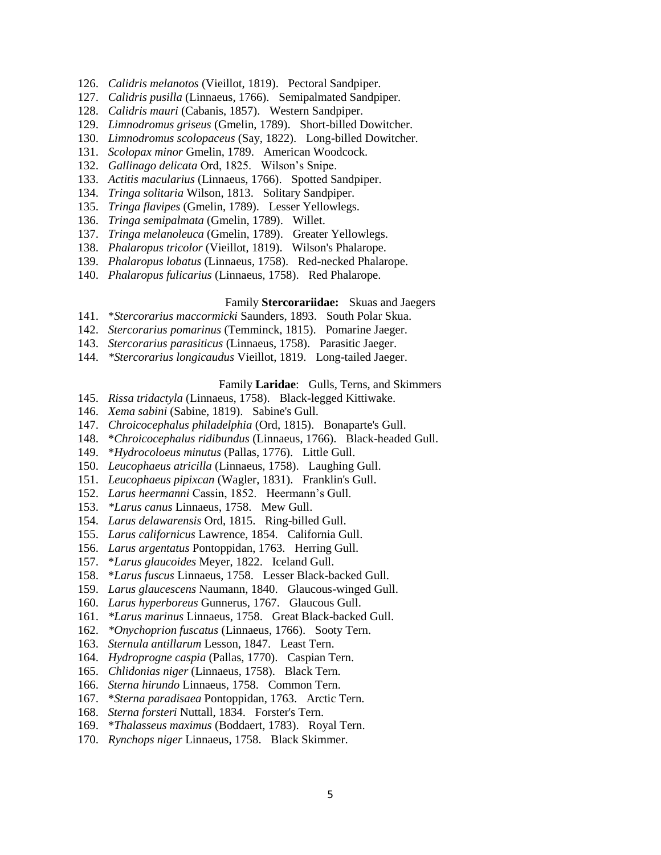- 126. *Calidris melanotos* (Vieillot, 1819). Pectoral Sandpiper.
- 127. *Calidris pusilla* (Linnaeus, 1766). Semipalmated Sandpiper.
- 128. *Calidris mauri* (Cabanis, 1857). Western Sandpiper.
- 129. *Limnodromus griseus* (Gmelin, 1789). Short-billed Dowitcher.
- 130. *Limnodromus scolopaceus* (Say, 1822). Long-billed Dowitcher.
- 131. *Scolopax minor* Gmelin, 1789. American Woodcock.
- 132. *Gallinago delicata* Ord, 1825. Wilson's Snipe.
- 133. *Actitis macularius* (Linnaeus, 1766). Spotted Sandpiper.
- 134. *Tringa solitaria* Wilson, 1813. Solitary Sandpiper.
- 135. *Tringa flavipes* (Gmelin, 1789). Lesser Yellowlegs.
- 136. *Tringa semipalmata* (Gmelin, 1789). Willet.
- 137. *Tringa melanoleuca* (Gmelin, 1789). Greater Yellowlegs.
- 138. *Phalaropus tricolor* (Vieillot, 1819). Wilson's Phalarope.
- 139. *Phalaropus lobatus* (Linnaeus, 1758). Red-necked Phalarope.
- 140. *Phalaropus fulicarius* (Linnaeus, 1758). Red Phalarope.

## Family **Stercorariidae:** Skuas and Jaegers

- 141. \**Stercorarius maccormicki* Saunders, 1893. South Polar Skua.
- 142. *Stercorarius pomarinus* (Temminck, 1815). Pomarine Jaeger.
- 143. *Stercorarius parasiticus* (Linnaeus, 1758). Parasitic Jaeger.
- 144. *\*Stercorarius longicaudus* Vieillot, 1819. Long-tailed Jaeger.

#### Family **Laridae**: Gulls, Terns, and Skimmers

- 145. *Rissa tridactyla* (Linnaeus, 1758). Black-legged Kittiwake.
- 146. *Xema sabini* (Sabine, 1819). Sabine's Gull.
- 147. *Chroicocephalus philadelphia* (Ord, 1815). Bonaparte's Gull.
- 148. \**Chroicocephalus ridibundus* (Linnaeus, 1766). Black-headed Gull.
- 149. \**Hydrocoloeus minutus* (Pallas, 1776). Little Gull.
- 150. *Leucophaeus atricilla* (Linnaeus, 1758). Laughing Gull.
- 151. *Leucophaeus pipixcan* (Wagler, 1831). Franklin's Gull.
- 152. *Larus heermanni* Cassin, 1852. Heermann's Gull.
- 153. *\*Larus canus* Linnaeus, 1758. Mew Gull.
- 154. *Larus delawarensis* Ord, 1815. Ring-billed Gull.
- 155. *Larus californicus* Lawrence, 1854. California Gull.
- 156. *Larus argentatus* Pontoppidan, 1763. Herring Gull.
- 157. \**Larus glaucoides* Meyer, 1822. Iceland Gull.
- 158. \**Larus fuscus* Linnaeus, 1758. Lesser Black-backed Gull.
- 159. *Larus glaucescens* Naumann, 1840. Glaucous-winged Gull.
- 160. *Larus hyperboreus* Gunnerus, 1767. Glaucous Gull.
- 161. *\*Larus marinus* Linnaeus, 1758. Great Black-backed Gull.
- 162. *\*Onychoprion fuscatus* (Linnaeus, 1766). Sooty Tern.
- 163. *Sternula antillarum* Lesson, 1847. Least Tern.
- 164. *Hydroprogne caspia* (Pallas, 1770). Caspian Tern.
- 165. *Chlidonias niger* (Linnaeus, 1758). Black Tern.
- 166. *Sterna hirundo* Linnaeus, 1758. Common Tern.
- 167. \**Sterna paradisaea* Pontoppidan, 1763. Arctic Tern.
- 168. *Sterna forsteri* Nuttall, 1834. Forster's Tern.
- 169. \**Thalasseus maximus* (Boddaert, 1783). Royal Tern.
- 170. *Rynchops niger* Linnaeus, 1758. Black Skimmer.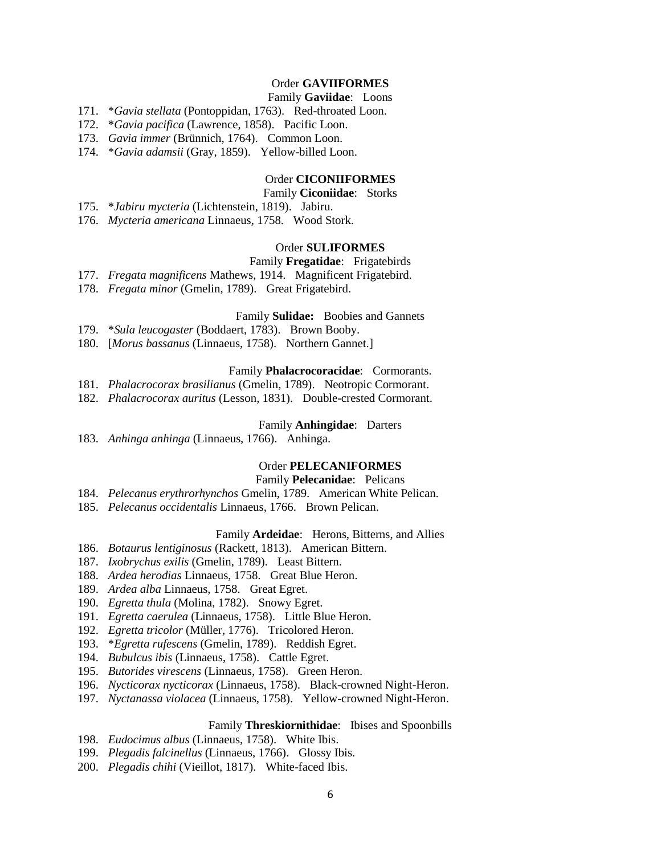## Order **GAVIIFORMES**

### Family **Gaviidae**: Loons

- 171. \**Gavia stellata* (Pontoppidan, 1763). Red-throated Loon.
- 172. \**Gavia pacifica* (Lawrence, 1858). Pacific Loon.
- 173. *Gavia immer* (Brünnich, 1764). Common Loon.
- 174. \**Gavia adamsii* (Gray, 1859). Yellow-billed Loon.

### Order **CICONIIFORMES**

### Family **Ciconiidae**: Storks

- 175. \**Jabiru mycteria* (Lichtenstein, 1819). Jabiru.
- 176. *Mycteria americana* Linnaeus, 1758. Wood Stork.

### Order **SULIFORMES**

# Family **Fregatidae**: Frigatebirds

- 177. *Fregata magnificens* Mathews, 1914. Magnificent Frigatebird.
- 178. *Fregata minor* (Gmelin, 1789). Great Frigatebird.

#### Family **Sulidae:** Boobies and Gannets

- 179. \**Sula leucogaster* (Boddaert, 1783). Brown Booby.
- 180. [*Morus bassanus* (Linnaeus, 1758). Northern Gannet.]

#### Family **Phalacrocoracidae**: Cormorants.

- 181. *Phalacrocorax brasilianus* (Gmelin, 1789). Neotropic Cormorant.
- 182. *Phalacrocorax auritus* (Lesson, 1831). Double-crested Cormorant.

#### Family **Anhingidae**: Darters

183. *Anhinga anhinga* (Linnaeus, 1766). Anhinga.

### Order **PELECANIFORMES**

# Family **Pelecanidae**: Pelicans

- 184. *Pelecanus erythrorhynchos* Gmelin, 1789. American White Pelican.
- 185. *Pelecanus occidentalis* Linnaeus, 1766. Brown Pelican.

### Family **Ardeidae**: Herons, Bitterns, and Allies

- 186. *Botaurus lentiginosus* (Rackett, 1813). American Bittern.
- 187. *Ixobrychus exilis* (Gmelin, 1789). Least Bittern.
- 188. *Ardea herodias* Linnaeus, 1758. Great Blue Heron.
- 189. *Ardea alba* Linnaeus, 1758. Great Egret.
- 190. *Egretta thula* (Molina, 1782). Snowy Egret.
- 191. *Egretta caerulea* (Linnaeus, 1758). Little Blue Heron.
- 192. *Egretta tricolor* (Müller, 1776). Tricolored Heron.
- 193. \**Egretta rufescens* (Gmelin, 1789). Reddish Egret.
- 194. *Bubulcus ibis* (Linnaeus, 1758). Cattle Egret.
- 195. *Butorides virescens* (Linnaeus, 1758). Green Heron.
- 196. *Nycticorax nycticorax* (Linnaeus, 1758). Black-crowned Night-Heron.
- 197. *Nyctanassa violacea* (Linnaeus, 1758). Yellow-crowned Night-Heron.

#### Family **Threskiornithidae**: Ibises and Spoonbills

- 198. *Eudocimus albus* (Linnaeus, 1758). White Ibis.
- 199. *Plegadis falcinellus* (Linnaeus, 1766). Glossy Ibis.
- 200. *Plegadis chihi* (Vieillot, 1817). White-faced Ibis.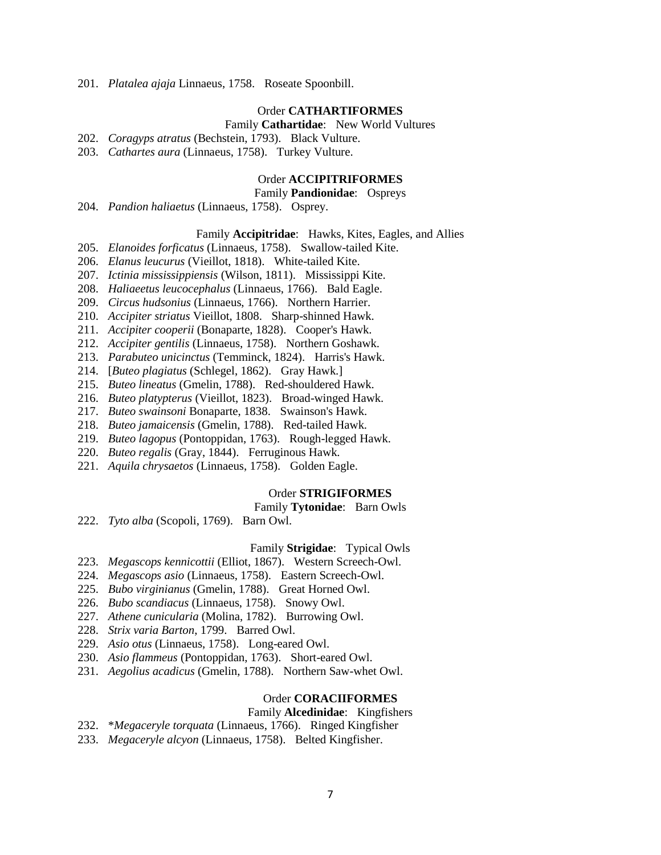201. *Platalea ajaja* Linnaeus, 1758. Roseate Spoonbill.

#### Order **CATHARTIFORMES**

### Family **Cathartidae**: New World Vultures

- 202. *Coragyps atratus* (Bechstein, 1793). Black Vulture.
- 203. *Cathartes aura* (Linnaeus, 1758). Turkey Vulture.

#### Order **ACCIPITRIFORMES**

## Family **Pandionidae**: Ospreys

204. *Pandion haliaetus* (Linnaeus, 1758). Osprey.

### Family **Accipitridae**: Hawks, Kites, Eagles, and Allies

- 205. *Elanoides forficatus* (Linnaeus, 1758). Swallow-tailed Kite.
- 206. *Elanus leucurus* (Vieillot, 1818). White-tailed Kite.
- 207. *Ictinia mississippiensis* (Wilson, 1811). Mississippi Kite.
- 208. *Haliaeetus leucocephalus* (Linnaeus, 1766). Bald Eagle.
- 209. *Circus hudsonius* (Linnaeus, 1766). Northern Harrier.
- 210. *Accipiter striatus* Vieillot, 1808. Sharp-shinned Hawk.
- 211. *Accipiter cooperii* (Bonaparte, 1828). Cooper's Hawk.
- 212. *Accipiter gentilis* (Linnaeus, 1758). Northern Goshawk.
- 213. *Parabuteo unicinctus* (Temminck, 1824). Harris's Hawk.
- 214. [*Buteo plagiatus* (Schlegel, 1862). Gray Hawk.]
- 215. *Buteo lineatus* (Gmelin, 1788). Red-shouldered Hawk.
- 216. *Buteo platypterus* (Vieillot, 1823). Broad-winged Hawk.
- 217. *Buteo swainsoni* Bonaparte, 1838. Swainson's Hawk.
- 218. *Buteo jamaicensis* (Gmelin, 1788). Red-tailed Hawk.
- 219. *Buteo lagopus* (Pontoppidan, 1763). Rough-legged Hawk.
- 220. *Buteo regalis* (Gray, 1844). Ferruginous Hawk.
- 221. *Aquila chrysaetos* (Linnaeus, 1758). Golden Eagle.

#### Order **STRIGIFORMES**

#### Family **Tytonidae**: Barn Owls

222. *Tyto alba* (Scopoli, 1769). Barn Owl.

### Family **Strigidae**: Typical Owls

- 223. *Megascops kennicottii* (Elliot, 1867). Western Screech-Owl.
- 224. *Megascops asio* (Linnaeus, 1758). Eastern Screech-Owl.
- 225. *Bubo virginianus* (Gmelin, 1788). Great Horned Owl.
- 226. *Bubo scandiacus* (Linnaeus, 1758). Snowy Owl.
- 227. *Athene cunicularia* (Molina, 1782). Burrowing Owl.
- 228. *Strix varia Barton*, 1799. Barred Owl.
- 229. *Asio otus* (Linnaeus, 1758). Long-eared Owl.
- 230. *Asio flammeus* (Pontoppidan, 1763). Short-eared Owl.
- 231. *Aegolius acadicus* (Gmelin, 1788). Northern Saw-whet Owl.

#### Order **CORACIIFORMES**

# Family **Alcedinidae**: Kingfishers

- 232. \**Megaceryle torquata* (Linnaeus, 1766). Ringed Kingfisher
- 233. *Megaceryle alcyon* (Linnaeus, 1758). Belted Kingfisher.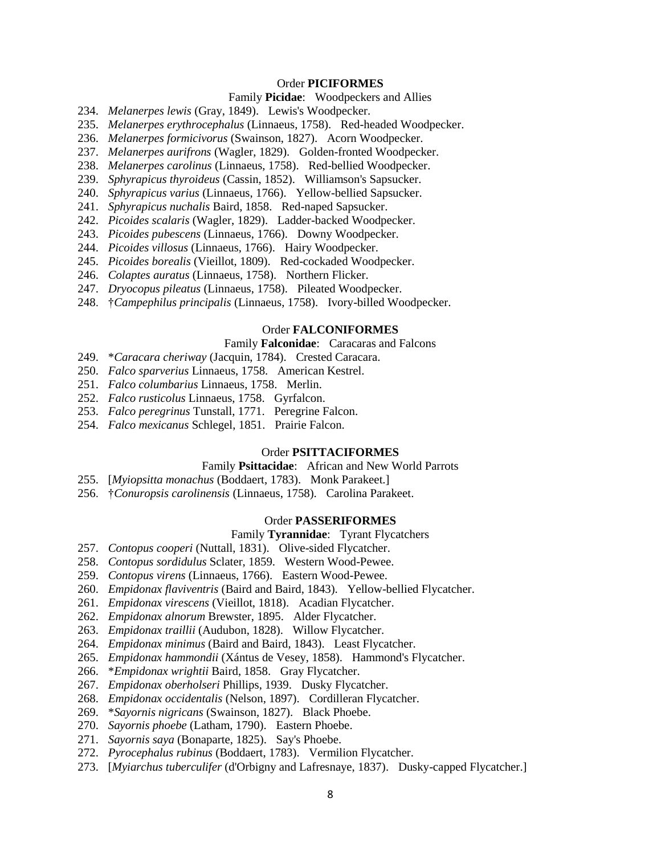### Order **PICIFORMES**

#### Family **Picidae**: Woodpeckers and Allies

- 234. *Melanerpes lewis* (Gray, 1849). Lewis's Woodpecker.
- 235. *Melanerpes erythrocephalus* (Linnaeus, 1758). Red-headed Woodpecker.
- 236. *Melanerpes formicivorus* (Swainson, 1827). Acorn Woodpecker.
- 237. *Melanerpes aurifrons* (Wagler, 1829). Golden-fronted Woodpecker.
- 238. *Melanerpes carolinus* (Linnaeus, 1758). Red-bellied Woodpecker.
- 239. *Sphyrapicus thyroideus* (Cassin, 1852). Williamson's Sapsucker.
- 240. *Sphyrapicus varius* (Linnaeus, 1766). Yellow-bellied Sapsucker.
- 241. *Sphyrapicus nuchalis* Baird, 1858. Red-naped Sapsucker.
- 242. *Picoides scalaris* (Wagler, 1829). Ladder-backed Woodpecker.
- 243. *Picoides pubescens* (Linnaeus, 1766). Downy Woodpecker.
- 244. *Picoides villosus* (Linnaeus, 1766). Hairy Woodpecker.
- 245. *Picoides borealis* (Vieillot, 1809). Red-cockaded Woodpecker.
- 246. *Colaptes auratus* (Linnaeus, 1758). Northern Flicker.
- 247. *Dryocopus pileatus* (Linnaeus, 1758). Pileated Woodpecker.
- 248. †*Campephilus principalis* (Linnaeus, 1758). Ivory-billed Woodpecker.

#### Order **FALCONIFORMES**

#### Family **Falconidae**: Caracaras and Falcons

- 249. \**Caracara cheriway* (Jacquin, 1784). Crested Caracara.
- 250. *Falco sparverius* Linnaeus, 1758. American Kestrel.
- 251. *Falco columbarius* Linnaeus, 1758. Merlin.
- 252. *Falco rusticolus* Linnaeus, 1758. Gyrfalcon.
- 253. *Falco peregrinus* Tunstall, 1771. Peregrine Falcon.
- 254. *Falco mexicanus* Schlegel, 1851. Prairie Falcon.

#### Order **PSITTACIFORMES**

#### Family **Psittacidae**: African and New World Parrots

- 255. [*Myiopsitta monachus* (Boddaert, 1783). Monk Parakeet.]
- 256. †*Conuropsis carolinensis* (Linnaeus, 1758). Carolina Parakeet.

#### Order **PASSERIFORMES**

### Family **Tyrannidae**: Tyrant Flycatchers

- 257. *Contopus cooperi* (Nuttall, 1831). Olive-sided Flycatcher.
- 258. *Contopus sordidulus* Sclater, 1859. Western Wood-Pewee.
- 259. *Contopus virens* (Linnaeus, 1766). Eastern Wood-Pewee.
- 260. *Empidonax flaviventris* (Baird and Baird, 1843). Yellow-bellied Flycatcher.
- 261. *Empidonax virescens* (Vieillot, 1818). Acadian Flycatcher.
- 262. *Empidonax alnorum* Brewster, 1895. Alder Flycatcher.
- 263. *Empidonax traillii* (Audubon, 1828). Willow Flycatcher.
- 264. *Empidonax minimus* (Baird and Baird, 1843). Least Flycatcher.
- 265. *Empidonax hammondii* (Xántus de Vesey, 1858). Hammond's Flycatcher.
- 266. \**Empidonax wrightii* Baird, 1858. Gray Flycatcher.
- 267. *Empidonax oberholseri* Phillips, 1939. Dusky Flycatcher.
- 268. *Empidonax occidentalis* (Nelson, 1897). Cordilleran Flycatcher.
- 269. \**Sayornis nigricans* (Swainson, 1827). Black Phoebe.
- 270. *Sayornis phoebe* (Latham, 1790). Eastern Phoebe.
- 271. *Sayornis saya* (Bonaparte, 1825). Say's Phoebe.
- 272. *Pyrocephalus rubinus* (Boddaert, 1783). Vermilion Flycatcher.
- 273. [*Myiarchus tuberculifer* (d'Orbigny and Lafresnaye, 1837). Dusky-capped Flycatcher.]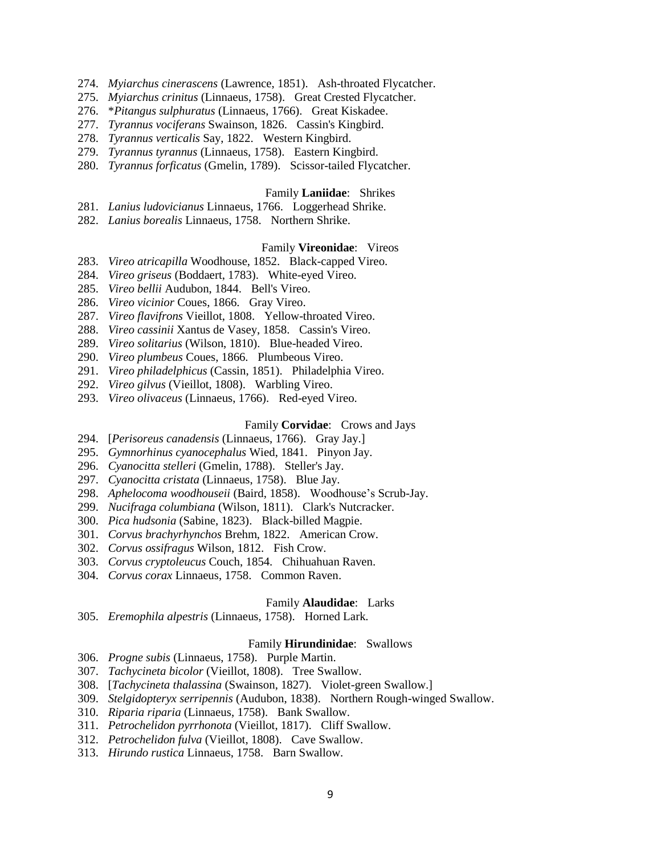- 274. *Myiarchus cinerascens* (Lawrence, 1851). Ash-throated Flycatcher.
- 275. *Myiarchus crinitus* (Linnaeus, 1758). Great Crested Flycatcher.
- 276. \**Pitangus sulphuratus* (Linnaeus, 1766). Great Kiskadee.
- 277. *Tyrannus vociferans* Swainson, 1826. Cassin's Kingbird.
- 278. *Tyrannus verticalis* Say, 1822. Western Kingbird.
- 279. *Tyrannus tyrannus* (Linnaeus, 1758). Eastern Kingbird.
- 280. *Tyrannus forficatus* (Gmelin, 1789). Scissor-tailed Flycatcher.

#### Family **Laniidae**: Shrikes

- 281. *Lanius ludovicianus* Linnaeus, 1766. Loggerhead Shrike.
- 282. *Lanius borealis* Linnaeus, 1758. Northern Shrike.

### Family **Vireonidae**: Vireos

- 283. *Vireo atricapilla* Woodhouse, 1852. Black-capped Vireo.
- 284. *Vireo griseus* (Boddaert, 1783). White-eyed Vireo.
- 285. *Vireo bellii* Audubon, 1844. Bell's Vireo.
- 286. *Vireo vicinior* Coues, 1866. Gray Vireo.
- 287. *Vireo flavifrons* Vieillot, 1808. Yellow-throated Vireo.
- 288. *Vireo cassinii* Xantus de Vasey, 1858. Cassin's Vireo.
- 289. *Vireo solitarius* (Wilson, 1810). Blue-headed Vireo.
- 290. *Vireo plumbeus* Coues, 1866. Plumbeous Vireo.
- 291. *Vireo philadelphicus* (Cassin, 1851). Philadelphia Vireo.
- 292. *Vireo gilvus* (Vieillot, 1808). Warbling Vireo.
- 293. *Vireo olivaceus* (Linnaeus, 1766). Red-eyed Vireo.

#### Family **Corvidae**: Crows and Jays

- 294. [*Perisoreus canadensis* (Linnaeus, 1766). Gray Jay.]
- 295. *Gymnorhinus cyanocephalus* Wied, 1841. Pinyon Jay.
- 296. *Cyanocitta stelleri* (Gmelin, 1788). Steller's Jay.
- 297. *Cyanocitta cristata* (Linnaeus, 1758). Blue Jay.
- 298. *Aphelocoma woodhouseii* (Baird, 1858). Woodhouse's Scrub-Jay.
- 299. *Nucifraga columbiana* (Wilson, 1811). Clark's Nutcracker.
- 300. *Pica hudsonia* (Sabine, 1823). Black-billed Magpie.
- 301. *Corvus brachyrhynchos* Brehm, 1822. American Crow.
- 302. *Corvus ossifragus* Wilson, 1812. Fish Crow.
- 303. *Corvus cryptoleucus* Couch, 1854. Chihuahuan Raven.
- 304. *Corvus corax* Linnaeus, 1758. Common Raven.

### Family **Alaudidae**: Larks

305. *Eremophila alpestris* (Linnaeus, 1758). Horned Lark.

#### Family **Hirundinidae**: Swallows

- 306. *Progne subis* (Linnaeus, 1758). Purple Martin.
- 307. *Tachycineta bicolor* (Vieillot, 1808). Tree Swallow.
- 308. [*Tachycineta thalassina* (Swainson, 1827). Violet-green Swallow.]
- 309. *Stelgidopteryx serripennis* (Audubon, 1838). Northern Rough-winged Swallow.
- 310. *Riparia riparia* (Linnaeus, 1758). Bank Swallow.
- 311. *Petrochelidon pyrrhonota* (Vieillot, 1817). Cliff Swallow.
- 312. *Petrochelidon fulva* (Vieillot, 1808). Cave Swallow.
- 313. *Hirundo rustica* Linnaeus, 1758. Barn Swallow.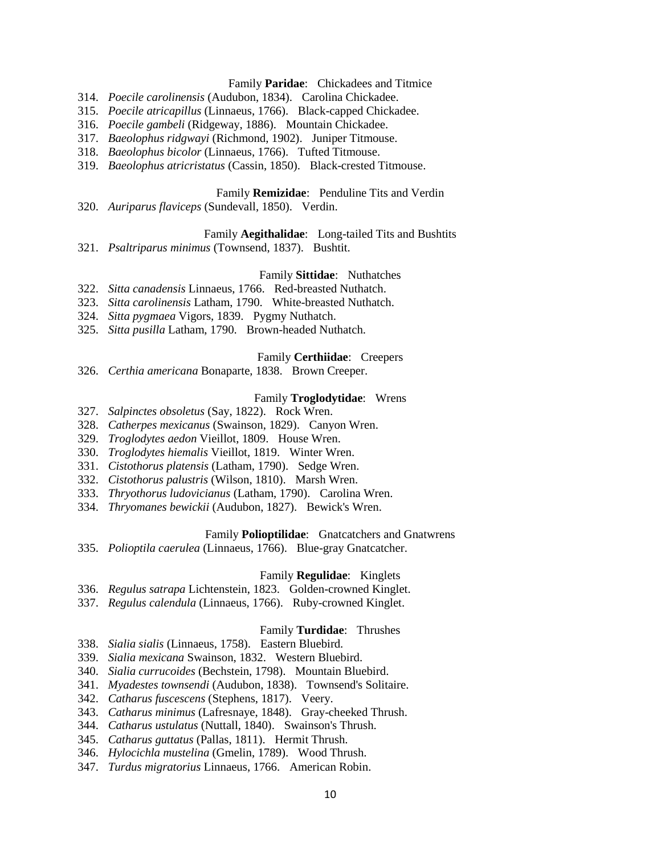## Family **Paridae**: Chickadees and Titmice

- 314. *Poecile carolinensis* (Audubon, 1834). Carolina Chickadee.
- 315. *Poecile atricapillus* (Linnaeus, 1766). Black-capped Chickadee.
- 316. *Poecile gambeli* (Ridgeway, 1886). Mountain Chickadee.
- 317. *Baeolophus ridgwayi* (Richmond, 1902). Juniper Titmouse.
- 318. *Baeolophus bicolor* (Linnaeus, 1766). Tufted Titmouse.
- 319. *Baeolophus atricristatus* (Cassin, 1850). Black-crested Titmouse.

## Family **Remizidae**: Penduline Tits and Verdin

320. *Auriparus flaviceps* (Sundevall, 1850). Verdin.

#### Family **Aegithalidae**: Long-tailed Tits and Bushtits

321. *Psaltriparus minimus* (Townsend, 1837). Bushtit.

#### Family **Sittidae**: Nuthatches

- 322. *Sitta canadensis* Linnaeus, 1766. Red-breasted Nuthatch.
- 323. *Sitta carolinensis* Latham, 1790. White-breasted Nuthatch.
- 324. *Sitta pygmaea* Vigors, 1839. Pygmy Nuthatch.
- 325. *Sitta pusilla* Latham, 1790. Brown-headed Nuthatch.

### Family **Certhiidae**: Creepers

326. *Certhia americana* Bonaparte, 1838. Brown Creeper.

#### Family **Troglodytidae**: Wrens

- 327. *Salpinctes obsoletus* (Say, 1822). Rock Wren.
- 328. *Catherpes mexicanus* (Swainson, 1829). Canyon Wren.
- 329. *Troglodytes aedon* Vieillot, 1809. House Wren.
- 330. *Troglodytes hiemalis* Vieillot, 1819. Winter Wren.
- 331. *Cistothorus platensis* (Latham, 1790). Sedge Wren.
- 332. *Cistothorus palustris* (Wilson, 1810). Marsh Wren.
- 333. *Thryothorus ludovicianus* (Latham, 1790). Carolina Wren.
- 334. *Thryomanes bewickii* (Audubon, 1827). Bewick's Wren.

# Family **Polioptilidae**: Gnatcatchers and Gnatwrens

335. *Polioptila caerulea* (Linnaeus, 1766). Blue-gray Gnatcatcher.

### Family **Regulidae**: Kinglets

- 336. *Regulus satrapa* Lichtenstein, 1823. Golden-crowned Kinglet.
- 337. *Regulus calendula* (Linnaeus, 1766). Ruby-crowned Kinglet.

### Family **Turdidae**: Thrushes

- 338. *Sialia sialis* (Linnaeus, 1758). Eastern Bluebird.
- 339. *Sialia mexicana* Swainson, 1832. Western Bluebird.
- 340. *Sialia currucoides* (Bechstein, 1798). Mountain Bluebird.
- 341. *Myadestes townsendi* (Audubon, 1838). Townsend's Solitaire.
- 342. *Catharus fuscescens* (Stephens, 1817). Veery.
- 343. *Catharus minimus* (Lafresnaye, 1848). Gray-cheeked Thrush.
- 344. *Catharus ustulatus* (Nuttall, 1840). Swainson's Thrush.
- 345. *Catharus guttatus* (Pallas, 1811). Hermit Thrush.
- 346. *Hylocichla mustelina* (Gmelin, 1789). Wood Thrush.
- 347. *Turdus migratorius* Linnaeus, 1766. American Robin.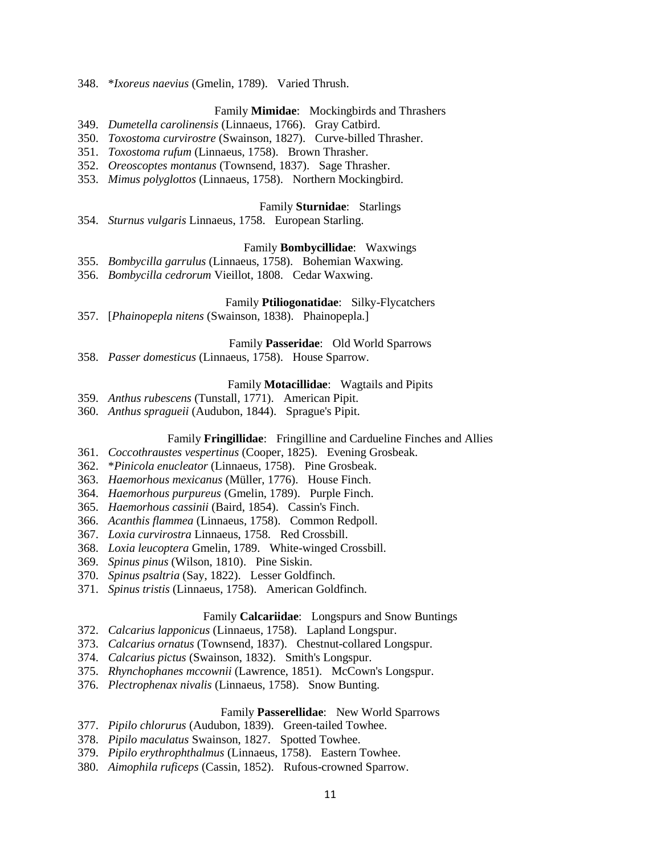348. \**Ixoreus naevius* (Gmelin, 1789). Varied Thrush.

### Family **Mimidae**: Mockingbirds and Thrashers

- 349. *Dumetella carolinensis* (Linnaeus, 1766). Gray Catbird.
- 350. *Toxostoma curvirostre* (Swainson, 1827). Curve-billed Thrasher.
- 351. *Toxostoma rufum* (Linnaeus, 1758). Brown Thrasher.
- 352. *Oreoscoptes montanus* (Townsend, 1837). Sage Thrasher.
- 353. *Mimus polyglottos* (Linnaeus, 1758). Northern Mockingbird.

### Family **Sturnidae**: Starlings

354. *Sturnus vulgaris* Linnaeus, 1758. European Starling.

### Family **Bombycillidae**: Waxwings

- 355. *Bombycilla garrulus* (Linnaeus, 1758). Bohemian Waxwing.
- 356. *Bombycilla cedrorum* Vieillot, 1808. Cedar Waxwing.

# Family **Ptiliogonatidae**: Silky-Flycatchers

357. [*Phainopepla nitens* (Swainson, 1838). Phainopepla.]

### Family **Passeridae**: Old World Sparrows

358. *Passer domesticus* (Linnaeus, 1758). House Sparrow.

#### Family **Motacillidae**: Wagtails and Pipits

- 359. *Anthus rubescens* (Tunstall, 1771). American Pipit.
- 360. *Anthus spragueii* (Audubon, 1844). Sprague's Pipit.

## Family **Fringillidae**: Fringilline and Cardueline Finches and Allies

- 361. *Coccothraustes vespertinus* (Cooper, 1825). Evening Grosbeak.
- 362. \**Pinicola enucleator* (Linnaeus, 1758). Pine Grosbeak.
- 363. *Haemorhous mexicanus* (Müller, 1776). House Finch.
- 364. *Haemorhous purpureus* (Gmelin, 1789). Purple Finch.
- 365. *Haemorhous cassinii* (Baird, 1854). Cassin's Finch.
- 366. *Acanthis flammea* (Linnaeus, 1758). Common Redpoll.
- 367. *Loxia curvirostra* Linnaeus, 1758. Red Crossbill.
- 368. *Loxia leucoptera* Gmelin, 1789. White-winged Crossbill.
- 369. *Spinus pinus* (Wilson, 1810). Pine Siskin.
- 370. *Spinus psaltria* (Say, 1822). Lesser Goldfinch.
- 371. *Spinus tristis* (Linnaeus, 1758). American Goldfinch.

### Family **Calcariidae**: Longspurs and Snow Buntings

- 372. *Calcarius lapponicus* (Linnaeus, 1758). Lapland Longspur.
- 373. *Calcarius ornatus* (Townsend, 1837). Chestnut-collared Longspur.
- 374. *Calcarius pictus* (Swainson, 1832). Smith's Longspur.
- 375. *Rhynchophanes mccownii* (Lawrence, 1851). McCown's Longspur.
- 376. *Plectrophenax nivalis* (Linnaeus, 1758). Snow Bunting.

# Family **Passerellidae**: New World Sparrows

- 377. *Pipilo chlorurus* (Audubon, 1839). Green-tailed Towhee.
- 378. *Pipilo maculatus* Swainson, 1827. Spotted Towhee.
- 379. *Pipilo erythrophthalmus* (Linnaeus, 1758). Eastern Towhee.
- 380. *Aimophila ruficeps* (Cassin, 1852). Rufous-crowned Sparrow.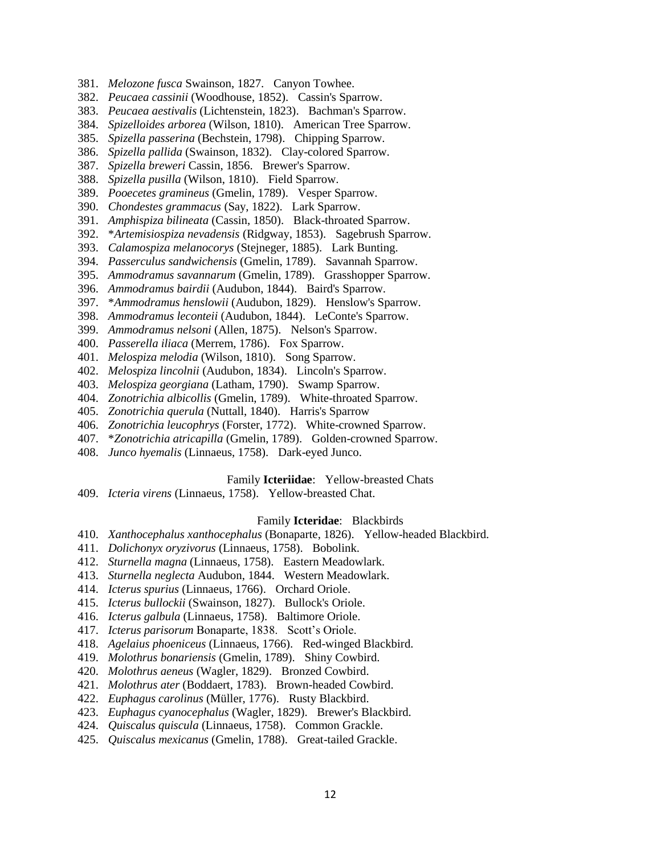- 381. *Melozone fusca* Swainson, 1827. Canyon Towhee.
- 382. *Peucaea cassinii* (Woodhouse, 1852). Cassin's Sparrow.
- 383. *Peucaea aestivalis* (Lichtenstein, 1823). Bachman's Sparrow.
- 384. *Spizelloides arborea* (Wilson, 1810). American Tree Sparrow.
- 385. *Spizella passerina* (Bechstein, 1798). Chipping Sparrow.
- 386. *Spizella pallida* (Swainson, 1832). Clay-colored Sparrow.
- 387. *Spizella breweri* Cassin, 1856. Brewer's Sparrow.
- 388. *Spizella pusilla* (Wilson, 1810). Field Sparrow.
- 389. *Pooecetes gramineus* (Gmelin, 1789). Vesper Sparrow.
- 390. *Chondestes grammacus* (Say, 1822). Lark Sparrow.
- 391. *Amphispiza bilineata* (Cassin, 1850). Black-throated Sparrow.
- 392. \**Artemisiospiza nevadensis* (Ridgway, 1853). Sagebrush Sparrow.
- 393. *Calamospiza melanocorys* (Stejneger, 1885). Lark Bunting.
- 394. *Passerculus sandwichensis* (Gmelin, 1789). Savannah Sparrow.
- 395. *Ammodramus savannarum* (Gmelin, 1789). Grasshopper Sparrow.
- 396. *Ammodramus bairdii* (Audubon, 1844). Baird's Sparrow.
- 397. \**Ammodramus henslowii* (Audubon, 1829). Henslow's Sparrow.
- 398. *Ammodramus leconteii* (Audubon, 1844). LeConte's Sparrow.
- 399. *Ammodramus nelsoni* (Allen, 1875). Nelson's Sparrow.
- 400. *Passerella iliaca* (Merrem, 1786). Fox Sparrow.
- 401. *Melospiza melodia* (Wilson, 1810). Song Sparrow.
- 402. *Melospiza lincolnii* (Audubon, 1834). Lincoln's Sparrow.
- 403. *Melospiza georgiana* (Latham, 1790). Swamp Sparrow.
- 404. *Zonotrichia albicollis* (Gmelin, 1789). White-throated Sparrow.
- 405. *Zonotrichia querula* (Nuttall, 1840). Harris's Sparrow
- 406. *Zonotrichia leucophrys* (Forster, 1772). White-crowned Sparrow.
- 407. \**Zonotrichia atricapilla* (Gmelin, 1789). Golden-crowned Sparrow.
- 408. *Junco hyemalis* (Linnaeus, 1758). Dark-eyed Junco.

# Family **Icteriidae**: Yellow-breasted Chats

409. *Icteria virens* (Linnaeus, 1758). Yellow-breasted Chat.

#### Family **Icteridae**: Blackbirds

- 410. *Xanthocephalus xanthocephalus* (Bonaparte, 1826). Yellow-headed Blackbird.
- 411. *Dolichonyx oryzivorus* (Linnaeus, 1758). Bobolink.
- 412. *Sturnella magna* (Linnaeus, 1758). Eastern Meadowlark.
- 413. *Sturnella neglecta* Audubon, 1844. Western Meadowlark.
- 414. *Icterus spurius* (Linnaeus, 1766). Orchard Oriole.
- 415. *Icterus bullockii* (Swainson, 1827). Bullock's Oriole.
- 416. *Icterus galbula* (Linnaeus, 1758). Baltimore Oriole.
- 417. *Icterus parisorum* Bonaparte, 1838. Scott's Oriole.
- 418. *Agelaius phoeniceus* (Linnaeus, 1766). Red-winged Blackbird.
- 419. *Molothrus bonariensis* (Gmelin, 1789). Shiny Cowbird.
- 420. *Molothrus aeneus* (Wagler, 1829). Bronzed Cowbird.
- 421. *Molothrus ater* (Boddaert, 1783). Brown-headed Cowbird.
- 422. *Euphagus carolinus* (Müller, 1776). Rusty Blackbird.
- 423. *Euphagus cyanocephalus* (Wagler, 1829). Brewer's Blackbird.
- 424. *Quiscalus quiscula* (Linnaeus, 1758). Common Grackle.
- 425. *Quiscalus mexicanus* (Gmelin, 1788). Great-tailed Grackle.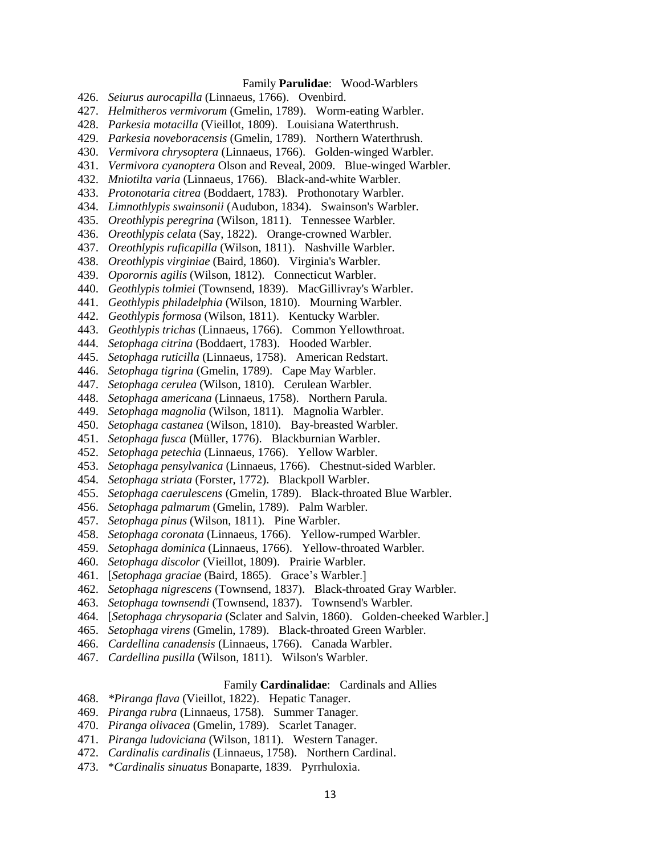### Family **Parulidae**: Wood-Warblers

- 426. *Seiurus aurocapilla* (Linnaeus, 1766). Ovenbird.
- 427. *Helmitheros vermivorum* (Gmelin, 1789). Worm-eating Warbler.
- 428. *Parkesia motacilla* (Vieillot, 1809). Louisiana Waterthrush.
- 429. *Parkesia noveboracensis* (Gmelin, 1789). Northern Waterthrush.
- 430. *Vermivora chrysoptera* (Linnaeus, 1766). Golden-winged Warbler.
- 431. *Vermivora cyanoptera* Olson and Reveal, 2009. Blue-winged Warbler.
- 432. *Mniotilta varia* (Linnaeus, 1766). Black-and-white Warbler.
- 433. *Protonotaria citrea* (Boddaert, 1783). Prothonotary Warbler.
- 434. *Limnothlypis swainsonii* (Audubon, 1834). Swainson's Warbler.
- 435. *Oreothlypis peregrina* (Wilson, 1811). Tennessee Warbler.
- 436. *Oreothlypis celata* (Say, 1822). Orange-crowned Warbler.
- 437. *Oreothlypis ruficapilla* (Wilson, 1811). Nashville Warbler.
- 438. *Oreothlypis virginiae* (Baird, 1860). Virginia's Warbler.
- 439. *Oporornis agilis* (Wilson, 1812). Connecticut Warbler.
- 440. *Geothlypis tolmiei* (Townsend, 1839). MacGillivray's Warbler.
- 441. *Geothlypis philadelphia* (Wilson, 1810). Mourning Warbler.
- 442. *Geothlypis formosa* (Wilson, 1811). Kentucky Warbler.
- 443. *Geothlypis trichas* (Linnaeus, 1766). Common Yellowthroat.
- 444. *Setophaga citrina* (Boddaert, 1783). Hooded Warbler.
- 445. *Setophaga ruticilla* (Linnaeus, 1758). American Redstart.
- 446. *Setophaga tigrina* (Gmelin, 1789). Cape May Warbler.
- 447. *Setophaga cerulea* (Wilson, 1810). Cerulean Warbler.
- 448. *Setophaga americana* (Linnaeus, 1758). Northern Parula.
- 449. *Setophaga magnolia* (Wilson, 1811). Magnolia Warbler.
- 450. *Setophaga castanea* (Wilson, 1810). Bay-breasted Warbler.
- 451. *Setophaga fusca* (Müller, 1776). Blackburnian Warbler.
- 452. *Setophaga petechia* (Linnaeus, 1766). Yellow Warbler.
- 453. *Setophaga pensylvanica* (Linnaeus, 1766). Chestnut-sided Warbler.
- 454. *Setophaga striata* (Forster, 1772). Blackpoll Warbler.
- 455. *Setophaga caerulescens* (Gmelin, 1789). Black-throated Blue Warbler.
- 456. *Setophaga palmarum* (Gmelin, 1789). Palm Warbler.
- 457. *Setophaga pinus* (Wilson, 1811). Pine Warbler.
- 458. *Setophaga coronata* (Linnaeus, 1766). Yellow-rumped Warbler.
- 459. *Setophaga dominica* (Linnaeus, 1766). Yellow-throated Warbler.
- 460. *Setophaga discolor* (Vieillot, 1809). Prairie Warbler.
- 461. [*Setophaga graciae* (Baird, 1865). Grace's Warbler.]
- 462. *Setophaga nigrescens* (Townsend, 1837). Black-throated Gray Warbler.
- 463. *Setophaga townsendi* (Townsend, 1837). Townsend's Warbler.
- 464. [*Setophaga chrysoparia* (Sclater and Salvin, 1860). Golden-cheeked Warbler.]
- 465. *Setophaga virens* (Gmelin, 1789). Black-throated Green Warbler.
- 466. *Cardellina canadensis* (Linnaeus, 1766). Canada Warbler.
- 467. *Cardellina pusilla* (Wilson, 1811). Wilson's Warbler.

#### Family **Cardinalidae**: Cardinals and Allies

- 468. *\*Piranga flava* (Vieillot, 1822). Hepatic Tanager.
- 469. *Piranga rubra* (Linnaeus, 1758). Summer Tanager.
- 470. *Piranga olivacea* (Gmelin, 1789). Scarlet Tanager.
- 471. *Piranga ludoviciana* (Wilson, 1811). Western Tanager.
- 472. *Cardinalis cardinalis* (Linnaeus, 1758). Northern Cardinal.
- 473. \**Cardinalis sinuatus* Bonaparte, 1839. Pyrrhuloxia.